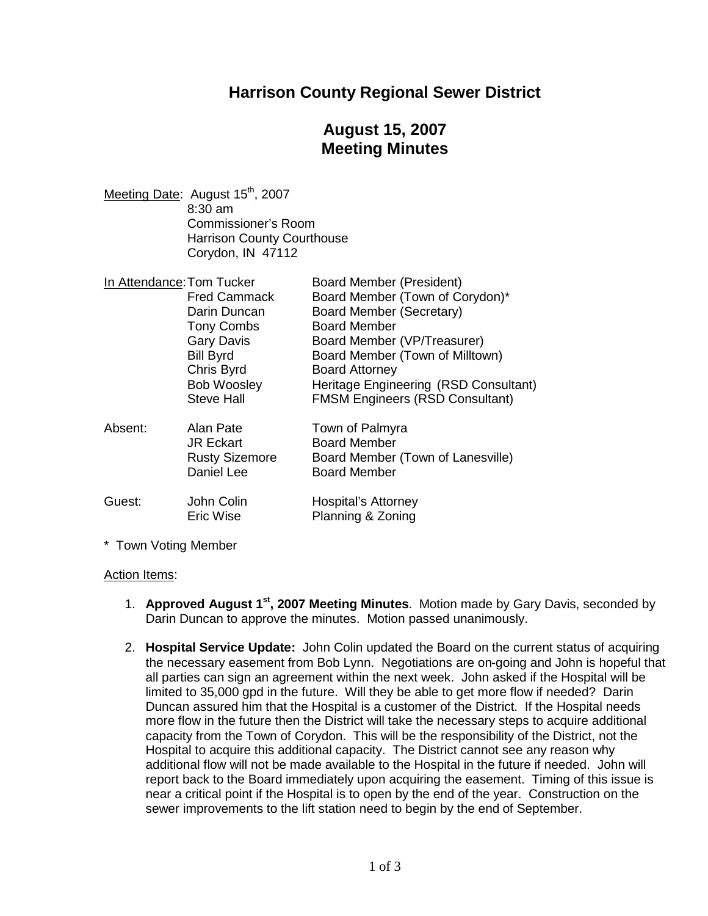### **Harrison County Regional Sewer District**

# **August 15, 2007 Meeting Minutes**

Meeting Date: August 15<sup>th</sup>, 2007 8:30 am Commissioner's Room Harrison County Courthouse Corydon, IN 47112

| In Attendance: Tom Tucker |                       | <b>Board Member (President)</b>        |
|---------------------------|-----------------------|----------------------------------------|
|                           | <b>Fred Cammack</b>   | Board Member (Town of Corydon)*        |
|                           | Darin Duncan          | Board Member (Secretary)               |
|                           | <b>Tony Combs</b>     | <b>Board Member</b>                    |
|                           | <b>Gary Davis</b>     | Board Member (VP/Treasurer)            |
|                           | <b>Bill Byrd</b>      | Board Member (Town of Milltown)        |
|                           | Chris Byrd            | <b>Board Attorney</b>                  |
|                           | <b>Bob Woosley</b>    | Heritage Engineering (RSD Consultant)  |
|                           | <b>Steve Hall</b>     | <b>FMSM Engineers (RSD Consultant)</b> |
| Absent:                   | Alan Pate             | Town of Palmyra                        |
|                           | <b>JR Eckart</b>      | <b>Board Member</b>                    |
|                           | <b>Rusty Sizemore</b> | Board Member (Town of Lanesville)      |
|                           | Daniel Lee            | <b>Board Member</b>                    |
| Guest:                    | John Colin            | <b>Hospital's Attorney</b>             |
|                           | Eric Wise             | Planning & Zoning                      |

\* Town Voting Member

#### Action Items:

- 1. **Approved August 1st , 2007 Meeting Minutes**. Motion made by Gary Davis, seconded by Darin Duncan to approve the minutes. Motion passed unanimously.
- 2. **Hospital Service Update:** John Colin updated the Board on the current status of acquiring the necessary easement from Bob Lynn. Negotiations are on-going and John is hopeful that all parties can sign an agreement within the next week. John asked if the Hospital will be limited to 35,000 gpd in the future. Will they be able to get more flow if needed? Darin Duncan assured him that the Hospital is a customer of the District. If the Hospital needs more flow in the future then the District will take the necessary steps to acquire additional capacity from the Town of Corydon. This will be the responsibility of the District, not the Hospital to acquire this additional capacity. The District cannot see any reason why additional flow will not be made available to the Hospital in the future if needed. John will report back to the Board immediately upon acquiring the easement. Timing of this issue is near a critical point if the Hospital is to open by the end of the year. Construction on the sewer improvements to the lift station need to begin by the end of September.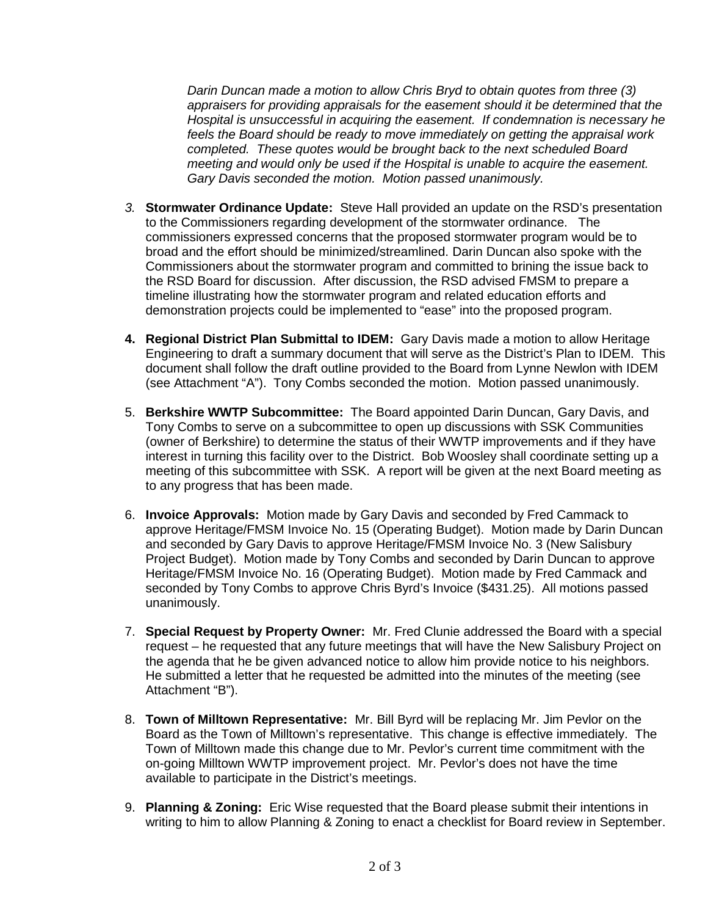*Darin Duncan made a motion to allow Chris Bryd to obtain quotes from three (3) appraisers for providing appraisals for the easement should it be determined that the Hospital is unsuccessful in acquiring the easement. If condemnation is necessary he feels the Board should be ready to move immediately on getting the appraisal work completed. These quotes would be brought back to the next scheduled Board meeting and would only be used if the Hospital is unable to acquire the easement. Gary Davis seconded the motion. Motion passed unanimously.*

- *3.* **Stormwater Ordinance Update:** Steve Hall provided an update on the RSD's presentation to the Commissioners regarding development of the stormwater ordinance. The commissioners expressed concerns that the proposed stormwater program would be to broad and the effort should be minimized/streamlined. Darin Duncan also spoke with the Commissioners about the stormwater program and committed to brining the issue back to the RSD Board for discussion. After discussion, the RSD advised FMSM to prepare a timeline illustrating how the stormwater program and related education efforts and demonstration projects could be implemented to "ease" into the proposed program.
- **4. Regional District Plan Submittal to IDEM:** Gary Davis made a motion to allow Heritage Engineering to draft a summary document that will serve as the District's Plan to IDEM. This document shall follow the draft outline provided to the Board from Lynne Newlon with IDEM (see Attachment "A"). Tony Combs seconded the motion. Motion passed unanimously.
- 5. **Berkshire WWTP Subcommittee:** The Board appointed Darin Duncan, Gary Davis, and Tony Combs to serve on a subcommittee to open up discussions with SSK Communities (owner of Berkshire) to determine the status of their WWTP improvements and if they have interest in turning this facility over to the District. Bob Woosley shall coordinate setting up a meeting of this subcommittee with SSK. A report will be given at the next Board meeting as to any progress that has been made.
- 6. **Invoice Approvals:** Motion made by Gary Davis and seconded by Fred Cammack to approve Heritage/FMSM Invoice No. 15 (Operating Budget). Motion made by Darin Duncan and seconded by Gary Davis to approve Heritage/FMSM Invoice No. 3 (New Salisbury Project Budget). Motion made by Tony Combs and seconded by Darin Duncan to approve Heritage/FMSM Invoice No. 16 (Operating Budget). Motion made by Fred Cammack and seconded by Tony Combs to approve Chris Byrd's Invoice (\$431.25). All motions passed unanimously.
- 7. **Special Request by Property Owner:** Mr. Fred Clunie addressed the Board with a special request – he requested that any future meetings that will have the New Salisbury Project on the agenda that he be given advanced notice to allow him provide notice to his neighbors. He submitted a letter that he requested be admitted into the minutes of the meeting (see Attachment "B").
- 8. **Town of Milltown Representative:** Mr. Bill Byrd will be replacing Mr. Jim Pevlor on the Board as the Town of Milltown's representative. This change is effective immediately. The Town of Milltown made this change due to Mr. Pevlor's current time commitment with the on-going Milltown WWTP improvement project. Mr. Pevlor's does not have the time available to participate in the District's meetings.
- 9. **Planning & Zoning:** Eric Wise requested that the Board please submit their intentions in writing to him to allow Planning & Zoning to enact a checklist for Board review in September.